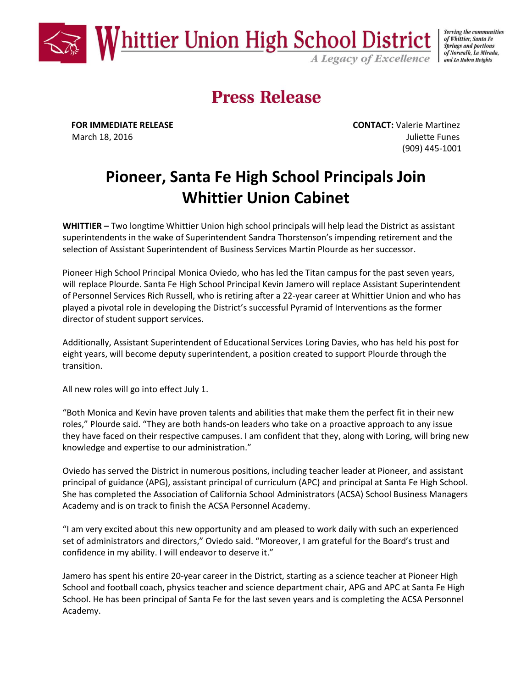

Serving the communities of Whittier, Santa Fe **Springs and portions** of Norwalk, La Mirada, and La Habra Heights

# **Press Release**

**FOR IMMEDIATE RELEASE CONTACT:** Valerie Martinez March 18, 2016 **Juliette Funes Juliette Funes** (909) 445-1001

# **Pioneer, Santa Fe High School Principals Join Whittier Union Cabinet**

**WHITTIER –** Two longtime Whittier Union high school principals will help lead the District as assistant superintendents in the wake of Superintendent Sandra Thorstenson's impending retirement and the selection of Assistant Superintendent of Business Services Martin Plourde as her successor.

Pioneer High School Principal Monica Oviedo, who has led the Titan campus for the past seven years, will replace Plourde. Santa Fe High School Principal Kevin Jamero will replace Assistant Superintendent of Personnel Services Rich Russell, who is retiring after a 22-year career at Whittier Union and who has played a pivotal role in developing the District's successful Pyramid of Interventions as the former director of student support services.

Additionally, Assistant Superintendent of Educational Services Loring Davies, who has held his post for eight years, will become deputy superintendent, a position created to support Plourde through the transition.

All new roles will go into effect July 1.

"Both Monica and Kevin have proven talents and abilities that make them the perfect fit in their new roles," Plourde said. "They are both hands-on leaders who take on a proactive approach to any issue they have faced on their respective campuses. I am confident that they, along with Loring, will bring new knowledge and expertise to our administration."

Oviedo has served the District in numerous positions, including teacher leader at Pioneer, and assistant principal of guidance (APG), assistant principal of curriculum (APC) and principal at Santa Fe High School. She has completed the Association of California School Administrators (ACSA) School Business Managers Academy and is on track to finish the ACSA Personnel Academy.

"I am very excited about this new opportunity and am pleased to work daily with such an experienced set of administrators and directors," Oviedo said. "Moreover, I am grateful for the Board's trust and confidence in my ability. I will endeavor to deserve it."

Jamero has spent his entire 20-year career in the District, starting as a science teacher at Pioneer High School and football coach, physics teacher and science department chair, APG and APC at Santa Fe High School. He has been principal of Santa Fe for the last seven years and is completing the ACSA Personnel Academy.